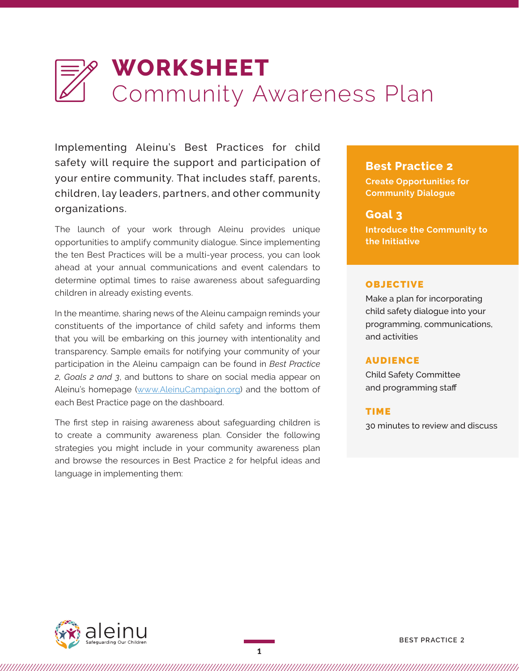# **WORKSHEET** Community Awareness Plan

Implementing Aleinu's Best Practices for child safety will require the support and participation of your entire community. That includes staff, parents, children, lay leaders, partners, and other community organizations.

The launch of your work through Aleinu provides unique opportunities to amplify community dialogue. Since implementing the ten Best Practices will be a multi-year process, you can look ahead at your annual communications and event calendars to determine optimal times to raise awareness about safeguarding children in already existing events.

In the meantime, sharing news of the Aleinu campaign reminds your constituents of the importance of child safety and informs them that you will be embarking on this journey with intentionality and transparency. Sample emails for notifying your community of your participation in the Aleinu campaign can be found in *Best Practice 2, Goals 2 and 3*, and buttons to share on social media appear on Aleinu's homepage [\(www.AleinuCampaign.org](http://www.aleinucampaign.org/)) and the bottom of each Best Practice page on the dashboard.

The first step in raising awareness about safeguarding children is to create a community awareness plan. Consider the following strategies you might include in your community awareness plan and browse the resources in Best Practice 2 for helpful ideas and language in implementing them:

## **Best Practice 2**

**Create Opportunities for Community Dialogue** 

## **Goal 3**

**Introduce the Community to the Initiative**

## OBJECTIVE

Make a plan for incorporating child safety dialogue into your programming, communications, and activities

#### AUDIENCE

Child Safety Committee and programming staff

#### TIME

30 minutes to review and discuss

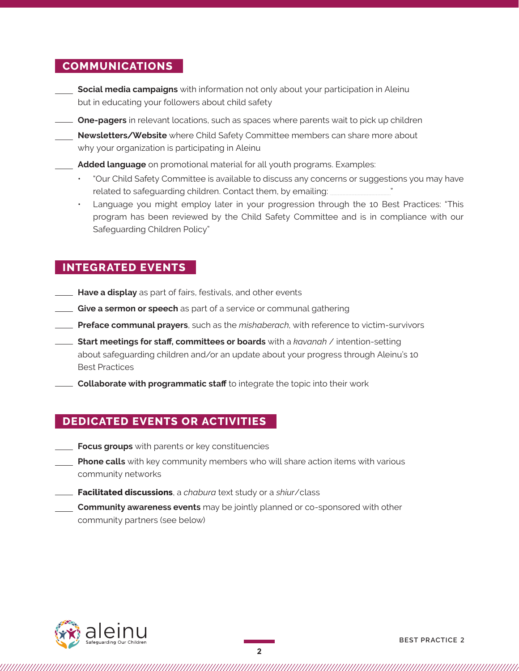## **COMMUNICATIONS**

- **Social media campaigns** with information not only about your participation in Aleinu but in educating your followers about child safety
- **One-pagers** in relevant locations, such as spaces where parents wait to pick up children
	- **Newsletters**/**Website** where Child Safety Committee members can share more about why your organization is participating in Aleinu

**Added language** on promotional material for all youth programs. Examples:

- "Our Child Safety Committee is available to discuss any concerns or suggestions you may have related to safeguarding children. Contact them, by emailing:
- Language you might employ later in your progression through the 10 Best Practices: "This program has been reviewed by the Child Safety Committee and is in compliance with our Safeguarding Children Policy"

# **INTEGRATED EVENTS**

- **Have a display** as part of fairs, festivals, and other events
- **Give a sermon or speech** as part of a service or communal gathering
- **Preface communal prayers**, such as the *mishaberach*, with reference to victim-survivors
- **Start meetings for staff, committees or boards** with a *kavanah* / intention-setting about safeguarding children and/or an update about your progress through Aleinu's 10 Best Practices
- **Collaborate with programmatic staff** to integrate the topic into their work

# **DEDICATED EVENTS OR ACTIVITIES**

- **Focus groups** with parents or key constituencies
- **Phone calls** with key community members who will share action items with various community networks
- **Facilitated discussions**, a *chabura* text study or a *shiur*/class
- **Community awareness events** may be jointly planned or co-sponsored with other community partners (see below)